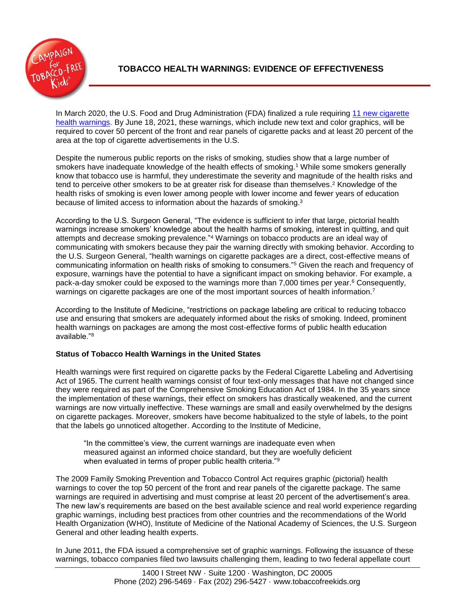

In March 2020, the U.S. Food and Drug Administration (FDA) finalized a rule requiring 11 new cigarette [health warnings.](https://www.fda.gov/tobacco-products/labeling-and-warning-statements-tobacco-products/cigarette-labeling-and-health-warning-requirements#1) By June 18, 2021, these warnings, which include new text and color graphics, will be required to cover 50 percent of the front and rear panels of cigarette packs and at least 20 percent of the area at the top of cigarette advertisements in the U.S.

Despite the numerous public reports on the risks of smoking, studies show that a large number of smokers have inadequate knowledge of the health effects of smoking.<sup>1</sup> While some smokers generally know that tobacco use is harmful, they underestimate the severity and magnitude of the health risks and tend to perceive other smokers to be at greater risk for disease than themselves.<sup>2</sup> Knowledge of the health risks of smoking is even lower among people with lower income and fewer years of education because of limited access to information about the hazards of smoking.<sup>3</sup>

According to the U.S. Surgeon General, "The evidence is sufficient to infer that large, pictorial health warnings increase smokers' knowledge about the health harms of smoking, interest in quitting, and quit attempts and decrease smoking prevalence."<sup>4</sup> Warnings on tobacco products are an ideal way of communicating with smokers because they pair the warning directly with smoking behavior. According to the U.S. Surgeon General, "health warnings on cigarette packages are a direct, cost-effective means of communicating information on health risks of smoking to consumers."<sup>5</sup> Given the reach and frequency of exposure, warnings have the potential to have a significant impact on smoking behavior. For example, a pack-a-day smoker could be exposed to the warnings more than 7,000 times per year.<sup>6</sup> Consequently, warnings on cigarette packages are one of the most important sources of health information.<sup>7</sup>

According to the Institute of Medicine, "restrictions on package labeling are critical to reducing tobacco use and ensuring that smokers are adequately informed about the risks of smoking. Indeed, prominent health warnings on packages are among the most cost-effective forms of public health education available."<sup>8</sup>

# **Status of Tobacco Health Warnings in the United States**

Health warnings were first required on cigarette packs by the Federal Cigarette Labeling and Advertising Act of 1965. The current health warnings consist of four text-only messages that have not changed since they were required as part of the Comprehensive Smoking Education Act of 1984. In the 35 years since the implementation of these warnings, their effect on smokers has drastically weakened, and the current warnings are now virtually ineffective. These warnings are small and easily overwhelmed by the designs on cigarette packages. Moreover, smokers have become habitualized to the style of labels, to the point that the labels go unnoticed altogether. According to the Institute of Medicine,

"In the committee's view, the current warnings are inadequate even when measured against an informed choice standard, but they are woefully deficient when evaluated in terms of proper public health criteria."<sup>9</sup>

The 2009 Family Smoking Prevention and Tobacco Control Act requires graphic (pictorial) health warnings to cover the top 50 percent of the front and rear panels of the cigarette package. The same warnings are required in advertising and must comprise at least 20 percent of the advertisement's area. The new law's requirements are based on the best available science and real world experience regarding graphic warnings, including best practices from other countries and the recommendations of the World Health Organization (WHO), Institute of Medicine of the National Academy of Sciences, the U.S. Surgeon General and other leading health experts.

In June 2011, the FDA issued a comprehensive set of graphic warnings. Following the issuance of these warnings, tobacco companies filed two lawsuits challenging them, leading to two federal appellate court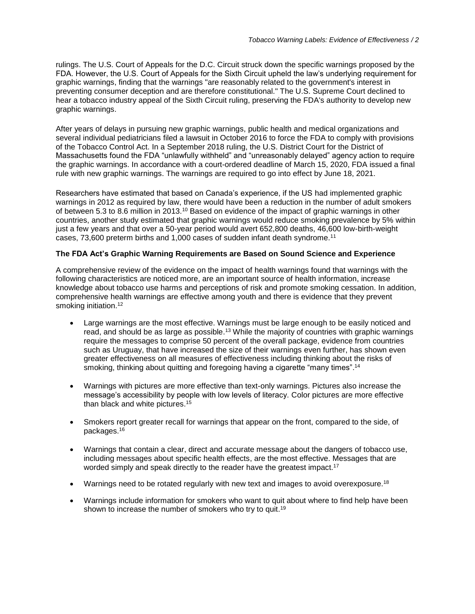rulings. The U.S. Court of Appeals for the D.C. Circuit struck down the specific warnings proposed by the FDA. However, the U.S. Court of Appeals for the Sixth Circuit upheld the law's underlying requirement for graphic warnings, finding that the warnings "are reasonably related to the government's interest in preventing consumer deception and are therefore constitutional." The U.S. Supreme Court declined to hear a tobacco industry appeal of the Sixth Circuit ruling, preserving the FDA's authority to develop new graphic warnings.

After years of delays in pursuing new graphic warnings, public health and medical organizations and several individual pediatricians filed a lawsuit in October 2016 to force the FDA to comply with provisions of the Tobacco Control Act. In a September 2018 ruling, the U.S. District Court for the District of Massachusetts found the FDA "unlawfully withheld" and "unreasonably delayed" agency action to require the graphic warnings. In accordance with a court-ordered deadline of March 15, 2020, FDA issued a final rule with new graphic warnings. The warnings are required to go into effect by June 18, 2021.

Researchers have estimated that based on Canada's experience, if the US had implemented graphic warnings in 2012 as required by law, there would have been a reduction in the number of adult smokers of between 5.3 to 8.6 million in 2013.<sup>10</sup> Based on evidence of the impact of graphic warnings in other countries, another study estimated that graphic warnings would reduce smoking prevalence by 5% within just a few years and that over a 50-year period would avert 652,800 deaths, 46,600 low-birth-weight cases, 73,600 preterm births and 1,000 cases of sudden infant death syndrome.<sup>11</sup>

## **The FDA Act's Graphic Warning Requirements are Based on Sound Science and Experience**

A comprehensive review of the evidence on the impact of health warnings found that warnings with the following characteristics are noticed more, are an important source of health information, increase knowledge about tobacco use harms and perceptions of risk and promote smoking cessation. In addition, comprehensive health warnings are effective among youth and there is evidence that they prevent smoking initiation.<sup>12</sup>

- Large warnings are the most effective. Warnings must be large enough to be easily noticed and read, and should be as large as possible.<sup>13</sup> While the majority of countries with graphic warnings require the messages to comprise 50 percent of the overall package, evidence from countries such as Uruguay, that have increased the size of their warnings even further, has shown even greater effectiveness on all measures of effectiveness including thinking about the risks of smoking, thinking about quitting and foregoing having a cigarette "many times".<sup>14</sup>
- Warnings with pictures are more effective than text-only warnings. Pictures also increase the message's accessibility by people with low levels of literacy. Color pictures are more effective than black and white pictures. 15
- Smokers report greater recall for warnings that appear on the front, compared to the side, of packages. 16
- Warnings that contain a clear, direct and accurate message about the dangers of tobacco use, including messages about specific health effects, are the most effective. Messages that are worded simply and speak directly to the reader have the greatest impact.<sup>17</sup>
- Warnings need to be rotated regularly with new text and images to avoid overexposure.<sup>18</sup>
- Warnings include information for smokers who want to quit about where to find help have been shown to increase the number of smokers who try to quit.<sup>19</sup>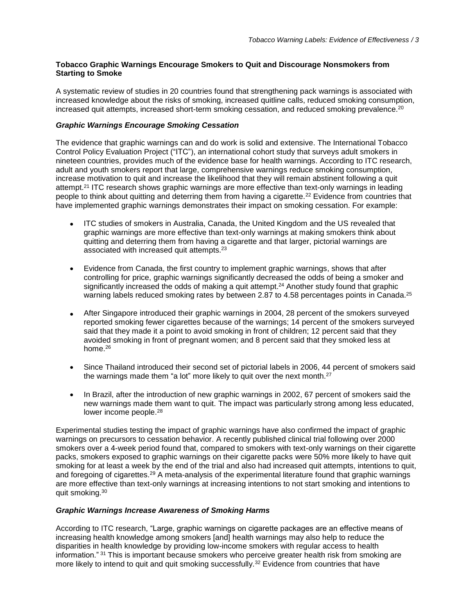### **Tobacco Graphic Warnings Encourage Smokers to Quit and Discourage Nonsmokers from Starting to Smoke**

A systematic review of studies in 20 countries found that strengthening pack warnings is associated with increased knowledge about the risks of smoking, increased quitline calls, reduced smoking consumption, increased quit attempts, increased short-term smoking cessation, and reduced smoking prevalence.<sup>20</sup>

## *Graphic Warnings Encourage Smoking Cessation*

The evidence that graphic warnings can and do work is solid and extensive. The International Tobacco Control Policy Evaluation Project ("ITC"), an international cohort study that surveys adult smokers in nineteen countries, provides much of the evidence base for health warnings. According to ITC research, adult and youth smokers report that large, comprehensive warnings reduce smoking consumption, increase motivation to quit and increase the likelihood that they will remain abstinent following a quit attempt.<sup>21</sup> ITC research shows graphic warnings are more effective than text-only warnings in leading people to think about quitting and deterring them from having a cigarette.<sup>22</sup> Evidence from countries that have implemented graphic warnings demonstrates their impact on smoking cessation. For example:

- ITC studies of smokers in Australia, Canada, the United Kingdom and the US revealed that graphic warnings are more effective than text-only warnings at making smokers think about quitting and deterring them from having a cigarette and that larger, pictorial warnings are associated with increased quit attempts.<sup>23</sup>
- Evidence from Canada, the first country to implement graphic warnings, shows that after controlling for price, graphic warnings significantly decreased the odds of being a smoker and significantly increased the odds of making a quit attempt.<sup>24</sup> Another study found that graphic warning labels reduced smoking rates by between 2.87 to 4.58 percentages points in Canada.<sup>25</sup>
- After Singapore introduced their graphic warnings in 2004, 28 percent of the smokers surveyed reported smoking fewer cigarettes because of the warnings; 14 percent of the smokers surveyed said that they made it a point to avoid smoking in front of children; 12 percent said that they avoided smoking in front of pregnant women; and 8 percent said that they smoked less at home.<sup>26</sup>
- Since Thailand introduced their second set of pictorial labels in 2006, 44 percent of smokers said the warnings made them "a lot" more likely to quit over the next month.<sup>27</sup>
- In Brazil, after the introduction of new graphic warnings in 2002, 67 percent of smokers said the new warnings made them want to quit. The impact was particularly strong among less educated, lower income people.<sup>28</sup>

Experimental studies testing the impact of graphic warnings have also confirmed the impact of graphic warnings on precursors to cessation behavior. A recently published clinical trial following over 2000 smokers over a 4-week period found that, compared to smokers with text-only warnings on their cigarette packs, smokers exposed to graphic warnings on their cigarette packs were 50% more likely to have quit smoking for at least a week by the end of the trial and also had increased quit attempts, intentions to quit, and foregoing of cigarettes.<sup>29</sup> A meta-analysis of the experimental literature found that graphic warnings are more effective than text-only warnings at increasing intentions to not start smoking and intentions to quit smoking.<sup>30</sup>

### *Graphic Warnings Increase Awareness of Smoking Harms*

According to ITC research, "Large, graphic warnings on cigarette packages are an effective means of increasing health knowledge among smokers [and] health warnings may also help to reduce the disparities in health knowledge by providing low-income smokers with regular access to health information." <sup>31</sup> This is important because smokers who perceive greater health risk from smoking are more likely to intend to quit and quit smoking successfully.<sup>32</sup> Evidence from countries that have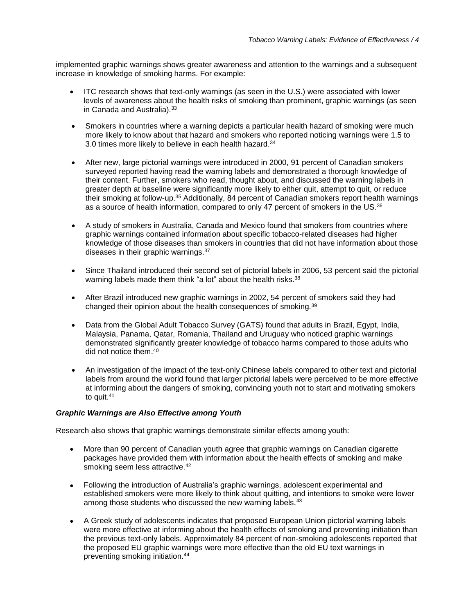implemented graphic warnings shows greater awareness and attention to the warnings and a subsequent increase in knowledge of smoking harms. For example:

- ITC research shows that text-only warnings (as seen in the U.S.) were associated with lower levels of awareness about the health risks of smoking than prominent, graphic warnings (as seen in Canada and Australia).<sup>33</sup>
- Smokers in countries where a warning depicts a particular health hazard of smoking were much more likely to know about that hazard and smokers who reported noticing warnings were 1.5 to 3.0 times more likely to believe in each health hazard.<sup>34</sup>
- After new, large pictorial warnings were introduced in 2000, 91 percent of Canadian smokers surveyed reported having read the warning labels and demonstrated a thorough knowledge of their content. Further, smokers who read, thought about, and discussed the warning labels in greater depth at baseline were significantly more likely to either quit, attempt to quit, or reduce their smoking at follow-up.<sup>35</sup> Additionally, 84 percent of Canadian smokers report health warnings as a source of health information, compared to only 47 percent of smokers in the US.<sup>36</sup>
- A study of smokers in Australia, Canada and Mexico found that smokers from countries where graphic warnings contained information about specific tobacco-related diseases had higher knowledge of those diseases than smokers in countries that did not have information about those diseases in their graphic warnings.<sup>37</sup>
- Since Thailand introduced their second set of pictorial labels in 2006, 53 percent said the pictorial warning labels made them think "a lot" about the health risks.<sup>38</sup>
- After Brazil introduced new graphic warnings in 2002, 54 percent of smokers said they had changed their opinion about the health consequences of smoking.<sup>39</sup>
- Data from the Global Adult Tobacco Survey (GATS) found that adults in Brazil, Egypt, India, Malaysia, Panama, Qatar, Romania, Thailand and Uruguay who noticed graphic warnings demonstrated significantly greater knowledge of tobacco harms compared to those adults who did not notice them. 40
- An investigation of the impact of the text-only Chinese labels compared to other text and pictorial labels from around the world found that larger pictorial labels were perceived to be more effective at informing about the dangers of smoking, convincing youth not to start and motivating smokers to quit.<sup>41</sup>

### *Graphic Warnings are Also Effective among Youth*

Research also shows that graphic warnings demonstrate similar effects among youth:

- More than 90 percent of Canadian youth agree that graphic warnings on Canadian cigarette packages have provided them with information about the health effects of smoking and make smoking seem less attractive.<sup>42</sup>
- Following the introduction of Australia's graphic warnings, adolescent experimental and established smokers were more likely to think about quitting, and intentions to smoke were lower among those students who discussed the new warning labels.<sup>43</sup>
- A Greek study of adolescents indicates that proposed European Union pictorial warning labels were more effective at informing about the health effects of smoking and preventing initiation than the previous text-only labels. Approximately 84 percent of non-smoking adolescents reported that the proposed EU graphic warnings were more effective than the old EU text warnings in preventing smoking initiation.44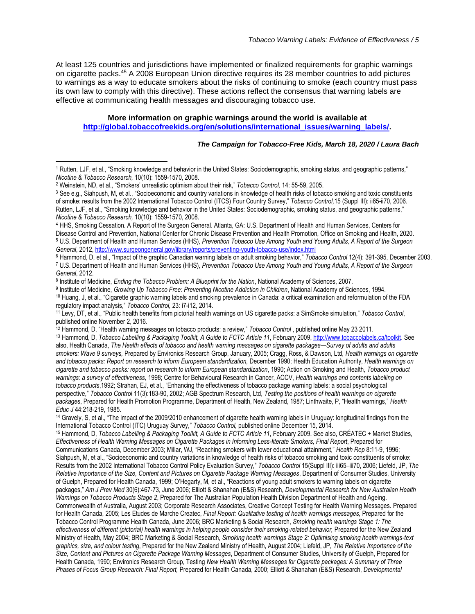At least 125 countries and jurisdictions have implemented or finalized requirements for graphic warnings on cigarette packs.<sup>45</sup> A 2008 European Union directive requires its 28 member countries to add pictures to warnings as a way to educate smokers about the risks of continuing to smoke (each country must pass its own law to comply with this directive). These actions reflect the consensus that warning labels are effective at communicating health messages and discouraging tobacco use.

## **More information on graphic warnings around the world is available at [http://global.tobaccofreekids.org/en/solutions/international\\_issues/warning\\_labels/.](http://global.tobaccofreekids.org/en/solutions/international_issues/warning_labels/)**

*The Campaign for Tobacco-Free Kids, March 18, 2020 / Laura Bach*

 $\overline{a}$ 

<sup>&</sup>lt;sup>1</sup> Rutten, LJF, et al., "Smoking knowledge and behavior in the United States: Sociodemographic, smoking status, and geographic patterns," *Nicotine & Tobacco Research,* 10(10): 1559-1570, 2008.

<sup>2</sup> Weinstein, ND, et al., "Smokers' unrealistic optimism about their risk," *Tobacco Control,* 14: 55-59, 2005.

<sup>3</sup> See e.g., Siahpush, M, et al., "Socioeconomic and country variations in knowledge of health risks of tobacco smoking and toxic constituents of smoke: results from the 2002 International Tobacco Control (ITCS) Four Country Survey," *Tobacco Control,*15 (Suppl III): ii65-ii70, 2006. Rutten, LJF, et al., "Smoking knowledge and behavior in the United States: Sociodemographic, smoking status, and geographic patterns," *Nicotine & Tobacco Research,* 10(10): 1559-1570, 2008.

<sup>4</sup> HHS, Smoking Cessation. A Report of the Surgeon General. Atlanta, GA: U.S. Department of Health and Human Services, Centers for Disease Control and Prevention, National Center for Chronic Disease Prevention and Health Promotion, Office on Smoking and Health, 2020. <sup>5</sup> U.S. Department of Health and Human Services (HHS), *Prevention Tobacco Use Among Youth and Young Adults, A Report of the Surgeon General*, 2012,<http://www.surgeongeneral.gov/library/reports/preventing-youth-tobacco-use/index.html>

<sup>6</sup> Hammond, D, et al., "Impact of the graphic Canadian warning labels on adult smoking behavior," *Tobacco Control* 12(4): 391-395, December 2003. <sup>7</sup> U.S. Department of Health and Human Services (HHS), *Prevention Tobacco Use Among Youth and Young Adults, A Report of the Surgeon General*, 2012.

<sup>8</sup> Institute of Medicine, *Ending the Tobacco Problem: A Blueprint for the Nation*, National Academy of Sciences, 2007.

<sup>&</sup>lt;sup>9</sup> Institute of Medicine, *Growing Up Tobacco Free: Preventing Nicotine Addiction in Children, National Academy of Sciences, 1994.* <sup>10</sup> Huang, J, et al., "Cigarette graphic warning labels and smoking prevalence in Canada: a critical examination and reformulation of the FDA regulatory impact analysis," *Tobacco Control,* 23: i7-i12, 2014.

<sup>11</sup> Levy, DT, et al., "Public health benefits from pictorial health warnings on US cigarette packs: a SimSmoke simulation," *Tobacco Control*, published online November 2, 2016.

<sup>12</sup> Hammond, D, "Health warning messages on tobacco products: a review," *Tobacco Control* , published online May 23 2011.

<sup>13</sup> Hammond, D, *Tobacco Labelling & Packaging Toolkit, A Guide to FCTC Article 11*, February 2009[, http://www.tobaccolabels.ca/toolkit.](http://www.tobaccolabels.ca/toolkit) See also, Health Canada, *The Health effects of tobacco and health warning messages on cigarette packages—Survey of adults and adults smokers: Wave 9 surveys,* Prepared by Environics Research Group, January, 2005; Cragg, Ross, & Dawson, Ltd, *Health warnings on cigarette and tobacco packs: Report on research to inform European standardization,* December 1990; Health Education Authority, *Health warnings on cigarette and tobacco packs: report on research to inform European standardization*, 1990; Action on Smoking and Health, *Tobacco product warnings: a survey of effectiveness,* 1998; Centre for Behavioural Research in Cancer, ACCV, *Health warnings and contents labelling on tobacco products*,1992; Strahan, EJ, et al., "Enhancing the effectiveness of tobacco package warning labels: a social psychological perspective," *Tobacco Control* 11(3):183-90, 2002; AGB Spectrum Research, Ltd, *Testing the positions of health warnings on cigarette packages*, Prepared for Health Promotion Programme, Department of Health, New Zealand, 1987; Linthwaite, P, "Health warnings," *Health Educ J* 44:218-219, 1985.

<sup>&</sup>lt;sup>14</sup> Gravely, S, et al., "The impact of the 2009/2010 enhancement of cigarette health warning labels in Uruguay: longitudinal findings from the International Tobacco Control (ITC) Uruguay Survey," *Tobacco Control,* published online December 15, 2014.

<sup>15</sup> Hammond, D, *Tobacco Labelling & Packaging Toolkit, A Guide to FCTC Article 11*, February 2009. See also, CRÉATEC + Market Studies, *Effectiveness of Health Warning Messages on Cigarette Packages in Informing Less-literate Smokers, Final Report*, Prepared for Communications Canada, December 2003; Millar, WJ, "Reaching smokers with lower educational attainment," *Health Rep* 8:11-9, 1996; Siahpush, M, et al., "Socioeconomic and country variations in knowledge of health risks of tobacco smoking and toxic constituents of smoke: Results from the 2002 International Tobacco Control Policy Evaluation Survey," *Tobacco Control* 15(Suppl III): iii65–iii70, 2006; Liefeld, JP, *The Relative Importance of the Size, Content and Pictures on Cigarette Package Warning Messages*, Department of Consumer Studies, University of Guelph, Prepared for Health Canada, 1999; O'Hegarty, M, et al., "Reactions of young adult smokers to warning labels on cigarette packages," *Am J Prev Med* 30(6):467-73, June 2006; Elliott & Shanahan (E&S) Research, *Developmental Research for New Australian Health Warnings on Tobacco Products Stage 2*, Prepared for The Australian Population Health Division Department of Health and Ageing. Commonwealth of Australia, August 2003; Corporate Research Associates, Creative Concept Testing for Health Warning Messages. Prepared for Health Canada, 2005; Les Etudes de Marche Createc, *Final Report: Qualitative testing of health warnings messages,* Prepared for the Tobacco Control Programme Health Canada, June 2006; BRC Marketing & Social Research, *Smoking health warnings Stage 1: The effectiveness of different (pictorial) health warnings in helping people consider their smoking-related behavior,* Prepared for the New Zealand Ministry of Health, May 2004; BRC Marketing & Social Research, *Smoking health warnings Stage 2: Optimising smoking health warnings-text graphics, size, and colour testing*, Prepared for the New Zealand Ministry of Health, August 2004; Liefeld, JP, *The Relative Importance of the Size, Content and Pictures on Cigarette Package Warning Messages*, Department of Consumer Studies, University of Guelph, Prepared for Health Canada, 1990; Environics Research Group, Testing *New Health Warning Messages for Cigarette packages: A Summary of Three Phases of Focus Group Research: Final Report,* Prepared for Health Canada, 2000; Elliott & Shanahan (E&S) Research, *Developmental*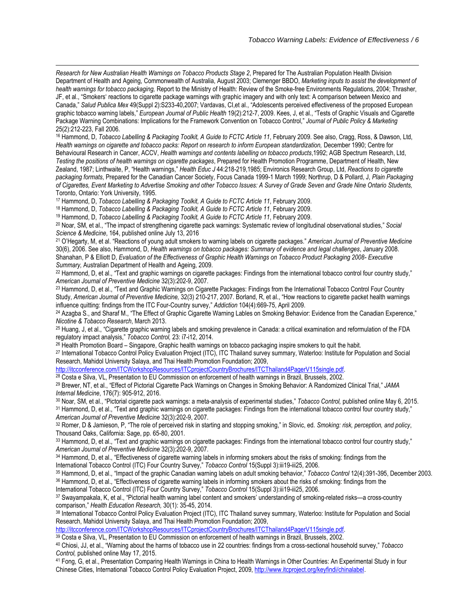*Research for New Australian Health Warnings on Tobacco Products Stage 2*, Prepared for The Australian Population Health Division Department of Health and Ageing, Commonwealth of Australia, August 2003; Clemenger BBDO, *Marketing inputs to assist the development of health warnings for tobacco packaging,* Report to the Ministry of Health: Review of the Smoke-free Environments Regulations, 2004; Thrasher, JF, et al., "Smokers' reactions to cigarette package warnings with graphic imagery and with only text: A comparison between Mexico and Canada," *Salud Publica Mex* 49(Suppl 2):S233-40,2007; Vardavas, CI,et al., "Adolescents perceived effectiveness of the proposed European graphic tobacco warning labels," *European Journal of Public Health* 19(2):212-7, 2009. Kees, J, et al., "Tests of Graphic Visuals and Cigarette Package Warning Combinations: Implications for the Framework Convention on Tobacco Control," *Journal of Public Policy & Marketing* 25(2):212-223, Fall 2006.

<sup>16</sup> Hammond, D, *Tobacco Labelling & Packaging Toolkit, A Guide to FCTC Article 11*, February 2009. See also, Cragg, Ross, & Dawson, Ltd, Health warnings on cigarette and tobacco packs: Report on research to inform European standardization, December 1990; Centre for Behavioural Research in Cancer, ACCV, *Health warnings and contents labelling on tobacco products*,1992; AGB Spectrum Research, Ltd, *Testing the positions of health warnings on cigarette packages*, Prepared for Health Promotion Programme, Department of Health, New Zealand, 1987; Linthwaite, P, "Health warnings," *Health Educ J* 44:218-219,1985; Environics Research Group, Ltd, *Reactions to cigarette packaging formats*, Prepared for the Canadian Cancer Society, Focus Canada 1999-1 March 1999; Northrup, D & Pollard, J, *Plain Packaging of Cigarettes, Event Marketing to Advertise Smoking and other Tobacco Issues: A Survey of Grade Seven and Grade Nine Ontario Students,*  Toronto, Ontario: York University, 1995.

<sup>17</sup> Hammond, D, *Tobacco Labelling & Packaging Toolkit, A Guide to FCTC Article 11*, February 2009.

l

<sup>18</sup> Hammond, D, *Tobacco Labelling & Packaging Toolkit, A Guide to FCTC Article 11*, February 2009.

<sup>19</sup> Hammond, D, *Tobacco Labelling & Packaging Toolkit, A Guide to FCTC Article 11*, February 2009.

<sup>20</sup> Noar, SM, et al., "The impact of strengthening cigarette pack warnings: Systematic review of longitudinal observational studies," *Social Science & Medicine*, 164, published online July 13, 2016

<sup>21</sup> O'Hegarty, M, et al. "Reactions of young adult smokers to warning labels on cigarette packages." *American Journal of Preventive Medicine* 30(6), 2006. See also, Hammond, D, *Health warnings on tobacco packages: Summary of evidence and legal challenges*, January 2008. Shanahan, P & Elliott D, *Evaluation of the Effectiveness of Graphic Health Warnings on Tobacco Product Packaging 2008- Executive Summary,* Australian Department of Health and Ageing, 2009.

<sup>22</sup> Hammond, D, et al., "Text and graphic warnings on cigarette packages: Findings from the international tobacco control four country study," *American Journal of Preventive Medicine* 32(3):202-9, 2007.

<sup>23</sup> Hammond, D, et al., "Text and Graphic Warnings on Cigarette Packages: Findings from the International Tobacco Control Four Country Study, *American Journal of Preventive Medicine,* 32(3) 210-217, 2007. Borland, R, et al., "How reactions to cigarette packet health warnings influence quitting: findings from the ITC Four-Country survey," *Addiction* 104(4):669-75, April 2009.

<sup>24</sup> Azagba S., and Sharaf M., "The Effect of Graphic Cigarette Warning Lables on Smoking Behavior: Evidence from the Canadian Experence." *Nicotine & Tobacco Research*, March 2013.

<sup>25</sup> Huang, J, et al., "Cigarette graphic warning labels and smoking prevalence in Canada: a critical examination and reformulation of the FDA regulatory impact analysis," *Tobacco Control,* 23: i7-i12, 2014.

<sup>26</sup> Health Promotion Board – Singapore, Graphic health warnings on tobacco packaging inspire smokers to quit the habit.

27 International Tobacco Control Policy Evaluation Project (ITC), ITC Thailand survey summary, Waterloo: Institute for Population and Social Research, Mahidol University Salaya, and Thai Health Promotion Foundation; 2009,

[http://itcconference.com/ITCWorkshopResources/ITCprojectCountryBrochures/ITCThailand4PagerV115single.pdf.](http://itcconference.com/ITCWorkshopResources/ITCprojectCountryBrochures/ITCThailand4PagerV115single.pdf) <sup>28</sup> Costa e Silva, VL, Presentation to EU Commission on enforcement of health warnings in Brazil, Brussels, 2002.

<sup>29</sup> Brewer, NT, et al., "Effect of Pictorial Cigarette Pack Warnings on Changes in Smoking Behavior: A Randomized Clinical Trial," *JAMA Internal Medicine*, 176(7): 905-912, 2016.

<sup>30</sup> Noar, SM, et al., "Pictorial cigarette pack warnings: a meta-analysis of experimental studies," *Tobacco Control,* published online May 6, 2015. <sup>31</sup> Hammond, D, et al., "Text and graphic warnings on cigarette packages: Findings from the international tobacco control four country study," *American Journal of Preventive Medicine* 32(3):202-9, 2007.

<sup>32</sup> Romer, D & Jamieson, P, "The role of perceived risk in starting and stopping smoking," in Slovic, ed. *Smoking: risk, perception, and policy*, Thousand Oaks, California: Sage, pp. 65-80, 2001.

<sup>33</sup> Hammond, D, et al., "Text and graphic warnings on cigarette packages: Findings from the international tobacco control four country study," *American Journal of Preventive Medicine* 32(3):202-9, 2007.

34 Hammond, D, et al., "Effectiveness of cigarette warning labels in informing smokers about the risks of smoking: findings from the International Tobacco Control (ITC) Four Country Survey," *Tobacco Control* 15(Suppl 3):iii19-iii25, 2006.

<sup>35</sup> Hammond, D, et al., "Impact of the graphic Canadian warning labels on adult smoking behavior," *Tobacco Control* 12(4):391-395, December 2003.

<sup>36</sup> Hammond, D, et al., "Effectiveness of cigarette warning labels in informing smokers about the risks of smoking: findings from the

International Tobacco Control (ITC) Four Country Survey," *Tobacco Control* 15(Suppl 3):iii19-iii25, 2006.

<sup>37</sup> Swayampakala, K, et al., "Pictorial health warning label content and smokers' understanding of smoking-related risks—a cross-country comparison," *Health Education Research,* 30(1): 35-45, 2014.

<sup>38</sup> International Tobacco Control Policy Evaluation Project (ITC), ITC Thailand survey summary, Waterloo: Institute for Population and Social Research, Mahidol University Salaya, and Thai Health Promotion Foundation; 2009,

[http://itcconference.com/ITCWorkshopResources/ITCprojectCountryBrochures/ITCThailand4PagerV115single.pdf.](http://itcconference.com/ITCWorkshopResources/ITCprojectCountryBrochures/ITCThailand4PagerV115single.pdf)

39 Costa e Silva, VL, Presentation to EU Commission on enforcement of health warnings in Brazil, Brussels, 2002.

<sup>40</sup> Chiosi, JJ, et al., "Warning about the harms of tobacco use in 22 countries: findings from a cross-sectional household survey," *Tobacco Control,* published online May 17, 2015.

<sup>41</sup> Fong, G, et al., Presentation Comparing Health Warnings in China to Health Warnings in Other Countries: An Experimental Study in four Chinese Cities, International Tobacco Control Policy Evaluation Project, 2009[, http://www.itcproject.org/keyfindi/chinalabel.](http://www.itcproject.org/keyfindi/chinalabel)